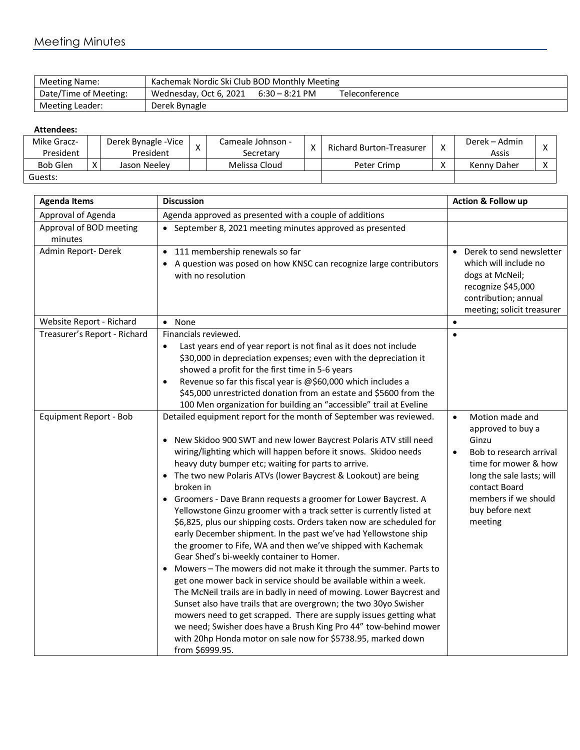| Meeting Name:         | Kachemak Nordic Ski Club BOD Monthly Meeting |                  |                |  |  |  |
|-----------------------|----------------------------------------------|------------------|----------------|--|--|--|
| Date/Time of Meeting: | Wednesday, Oct 6, 2021                       | $6:30 - 8:21$ PM | Teleconference |  |  |  |
| Meeting Leader:       | Derek Bynagle                                |                  |                |  |  |  |

## **Attendees:**

| Mike Gracz-     | Derek Bynagle - Vice | $\checkmark$ | Cameale Johnson - | $\mathbf{v}$ | <b>Richard Burton-Treasurer</b> | Derek – Admin |  |
|-----------------|----------------------|--------------|-------------------|--------------|---------------------------------|---------------|--|
| President       | President            |              | Secretarv         |              |                                 | Assis         |  |
| <b>Bob Glen</b> | Jason Neelev         |              | Melissa Cloud     |              | Peter Crimp                     | Kenny Daher   |  |
| Guests:         |                      |              |                   |              |                                 |               |  |

| <b>Agenda Items</b>                | <b>Discussion</b>                                                                                                                                                                                                                                                                                                                                                                                                                                                                                                                                                                                                                                                                                                                                                                                                                                                                                                                                                                                                                                                                                                                                                                                                                                                | Action & Follow up                                                                                                                                                                                                             |
|------------------------------------|------------------------------------------------------------------------------------------------------------------------------------------------------------------------------------------------------------------------------------------------------------------------------------------------------------------------------------------------------------------------------------------------------------------------------------------------------------------------------------------------------------------------------------------------------------------------------------------------------------------------------------------------------------------------------------------------------------------------------------------------------------------------------------------------------------------------------------------------------------------------------------------------------------------------------------------------------------------------------------------------------------------------------------------------------------------------------------------------------------------------------------------------------------------------------------------------------------------------------------------------------------------|--------------------------------------------------------------------------------------------------------------------------------------------------------------------------------------------------------------------------------|
| Approval of Agenda                 | Agenda approved as presented with a couple of additions                                                                                                                                                                                                                                                                                                                                                                                                                                                                                                                                                                                                                                                                                                                                                                                                                                                                                                                                                                                                                                                                                                                                                                                                          |                                                                                                                                                                                                                                |
| Approval of BOD meeting<br>minutes | • September 8, 2021 meeting minutes approved as presented                                                                                                                                                                                                                                                                                                                                                                                                                                                                                                                                                                                                                                                                                                                                                                                                                                                                                                                                                                                                                                                                                                                                                                                                        |                                                                                                                                                                                                                                |
| Admin Report-Derek                 | 111 membership renewals so far<br>$\bullet$<br>A question was posed on how KNSC can recognize large contributors<br>٠<br>with no resolution                                                                                                                                                                                                                                                                                                                                                                                                                                                                                                                                                                                                                                                                                                                                                                                                                                                                                                                                                                                                                                                                                                                      | Derek to send newsletter<br>which will include no<br>dogs at McNeil;<br>recognize \$45,000<br>contribution; annual<br>meeting; solicit treasurer                                                                               |
| Website Report - Richard           | • None                                                                                                                                                                                                                                                                                                                                                                                                                                                                                                                                                                                                                                                                                                                                                                                                                                                                                                                                                                                                                                                                                                                                                                                                                                                           | $\bullet$                                                                                                                                                                                                                      |
| Treasurer's Report - Richard       | Financials reviewed.<br>Last years end of year report is not final as it does not include<br>$\bullet$<br>\$30,000 in depreciation expenses; even with the depreciation it<br>showed a profit for the first time in 5-6 years<br>Revenue so far this fiscal year is @\$60,000 which includes a<br>$\bullet$<br>\$45,000 unrestricted donation from an estate and \$5600 from the<br>100 Men organization for building an "accessible" trail at Eveline                                                                                                                                                                                                                                                                                                                                                                                                                                                                                                                                                                                                                                                                                                                                                                                                           | $\bullet$                                                                                                                                                                                                                      |
| Equipment Report - Bob             | Detailed equipment report for the month of September was reviewed.<br>New Skidoo 900 SWT and new lower Baycrest Polaris ATV still need<br>wiring/lighting which will happen before it snows. Skidoo needs<br>heavy duty bumper etc; waiting for parts to arrive.<br>The two new Polaris ATVs (lower Baycrest & Lookout) are being<br>broken in<br>Groomers - Dave Brann requests a groomer for Lower Baycrest. A<br>Yellowstone Ginzu groomer with a track setter is currently listed at<br>\$6,825, plus our shipping costs. Orders taken now are scheduled for<br>early December shipment. In the past we've had Yellowstone ship<br>the groomer to Fife, WA and then we've shipped with Kachemak<br>Gear Shed's bi-weekly container to Homer.<br>Mowers - The mowers did not make it through the summer. Parts to<br>get one mower back in service should be available within a week.<br>The McNeil trails are in badly in need of mowing. Lower Baycrest and<br>Sunset also have trails that are overgrown; the two 30yo Swisher<br>mowers need to get scrapped. There are supply issues getting what<br>we need; Swisher does have a Brush King Pro 44" tow-behind mower<br>with 20hp Honda motor on sale now for \$5738.95, marked down<br>from \$6999.95. | Motion made and<br>$\bullet$<br>approved to buy a<br>Ginzu<br>Bob to research arrival<br>$\bullet$<br>time for mower & how<br>long the sale lasts; will<br>contact Board<br>members if we should<br>buy before next<br>meeting |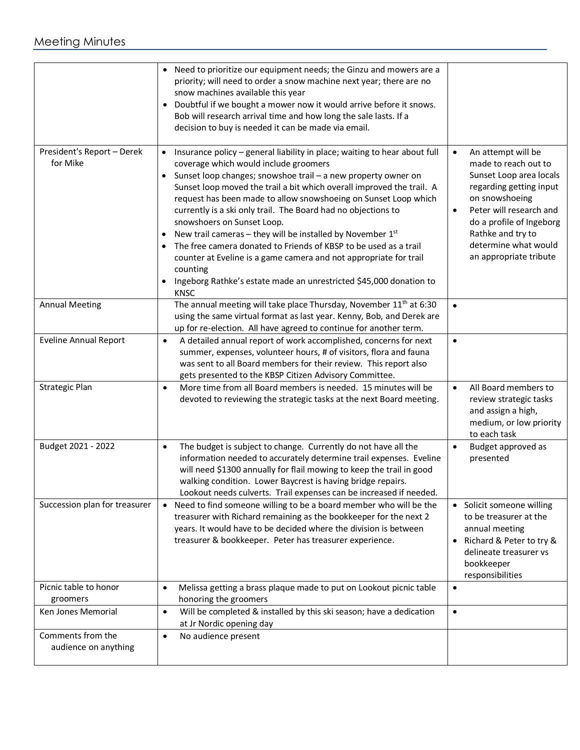## Meeting Minutes

|                                           | Need to prioritize our equipment needs; the Ginzu and mowers are a<br>priority; will need to order a snow machine next year; there are no<br>snow machines available this year<br>Doubtful if we bought a mower now it would arrive before it snows.<br>Bob will research arrival time and how long the sale lasts. If a<br>decision to buy is needed it can be made via email.                                                                                                                                                                                                                                                                                                                                                                                                 |                                                                                                                                                                                                                                                                            |
|-------------------------------------------|---------------------------------------------------------------------------------------------------------------------------------------------------------------------------------------------------------------------------------------------------------------------------------------------------------------------------------------------------------------------------------------------------------------------------------------------------------------------------------------------------------------------------------------------------------------------------------------------------------------------------------------------------------------------------------------------------------------------------------------------------------------------------------|----------------------------------------------------------------------------------------------------------------------------------------------------------------------------------------------------------------------------------------------------------------------------|
| President's Report - Derek<br>for Mike    | Insurance policy - general liability in place; waiting to hear about full<br>$\bullet$<br>coverage which would include groomers<br>Sunset loop changes; snowshoe trail - a new property owner on<br>$\bullet$<br>Sunset loop moved the trail a bit which overall improved the trail. A<br>request has been made to allow snowshoeing on Sunset Loop which<br>currently is a ski only trail. The Board had no objections to<br>snowshoers on Sunset Loop.<br>New trail cameras – they will be installed by November $1st$<br>The free camera donated to Friends of KBSP to be used as a trail<br>$\bullet$<br>counter at Eveline is a game camera and not appropriate for trail<br>counting<br>Ingeborg Rathke's estate made an unrestricted \$45,000 donation to<br><b>KNSC</b> | An attempt will be<br>$\bullet$<br>made to reach out to<br>Sunset Loop area locals<br>regarding getting input<br>on snowshoeing<br>Peter will research and<br>$\bullet$<br>do a profile of Ingeborg<br>Rathke and try to<br>determine what would<br>an appropriate tribute |
| <b>Annual Meeting</b>                     | The annual meeting will take place Thursday, November 11 <sup>th</sup> at 6:30<br>using the same virtual format as last year. Kenny, Bob, and Derek are<br>up for re-election. All have agreed to continue for another term.                                                                                                                                                                                                                                                                                                                                                                                                                                                                                                                                                    | $\bullet$                                                                                                                                                                                                                                                                  |
| <b>Eveline Annual Report</b>              | A detailed annual report of work accomplished, concerns for next<br>$\bullet$<br>summer, expenses, volunteer hours, # of visitors, flora and fauna<br>was sent to all Board members for their review. This report also<br>gets presented to the KBSP Citizen Advisory Committee.                                                                                                                                                                                                                                                                                                                                                                                                                                                                                                | $\bullet$                                                                                                                                                                                                                                                                  |
| Strategic Plan                            | More time from all Board members is needed. 15 minutes will be<br>$\bullet$<br>devoted to reviewing the strategic tasks at the next Board meeting.                                                                                                                                                                                                                                                                                                                                                                                                                                                                                                                                                                                                                              | All Board members to<br>$\bullet$<br>review strategic tasks<br>and assign a high,<br>medium, or low priority<br>to each task                                                                                                                                               |
| Budget 2021 - 2022                        | The budget is subject to change. Currently do not have all the<br>$\bullet$<br>information needed to accurately determine trail expenses. Eveline<br>will need \$1300 annually for flail mowing to keep the trail in good<br>walking condition. Lower Baycrest is having bridge repairs.<br>Lookout needs culverts. Trail expenses can be increased if needed.                                                                                                                                                                                                                                                                                                                                                                                                                  | Budget approved as<br>$\bullet$<br>presented                                                                                                                                                                                                                               |
| Succession plan for treasurer             | Need to find someone willing to be a board member who will be the<br>$\bullet$<br>treasurer with Richard remaining as the bookkeeper for the next 2<br>years. It would have to be decided where the division is between<br>treasurer & bookkeeper. Peter has treasurer experience.                                                                                                                                                                                                                                                                                                                                                                                                                                                                                              | • Solicit someone willing<br>to be treasurer at the<br>annual meeting<br>Richard & Peter to try &<br>$\bullet$<br>delineate treasurer vs<br>bookkeeper<br>responsibilities                                                                                                 |
| Picnic table to honor<br>groomers         | Melissa getting a brass plaque made to put on Lookout picnic table<br>$\bullet$<br>honoring the groomers                                                                                                                                                                                                                                                                                                                                                                                                                                                                                                                                                                                                                                                                        | $\bullet$                                                                                                                                                                                                                                                                  |
| Ken Jones Memorial                        | Will be completed & installed by this ski season; have a dedication<br>$\bullet$<br>at Jr Nordic opening day                                                                                                                                                                                                                                                                                                                                                                                                                                                                                                                                                                                                                                                                    | $\bullet$                                                                                                                                                                                                                                                                  |
| Comments from the<br>audience on anything | No audience present<br>$\bullet$                                                                                                                                                                                                                                                                                                                                                                                                                                                                                                                                                                                                                                                                                                                                                |                                                                                                                                                                                                                                                                            |